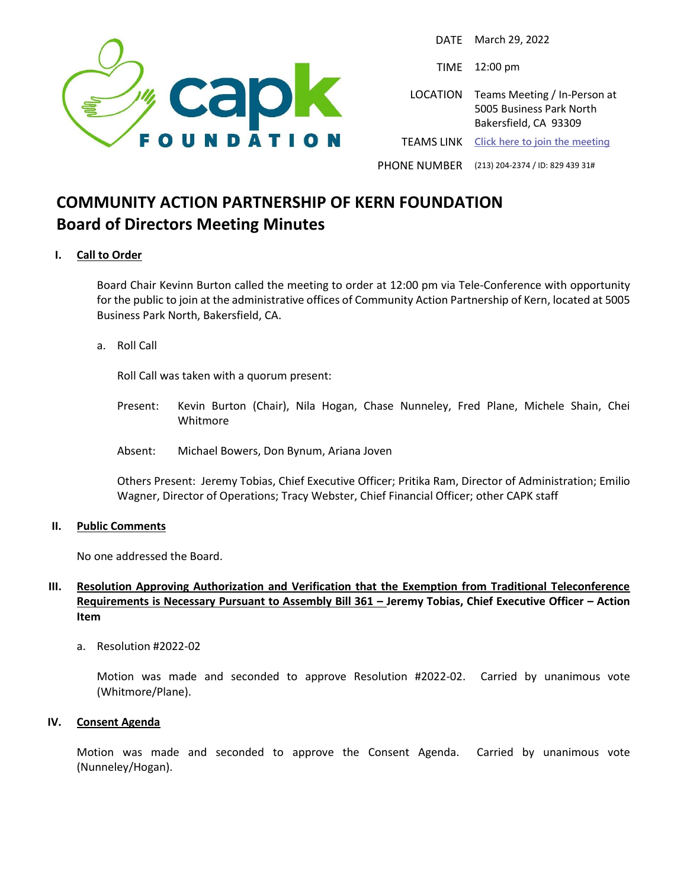

DATE March 29, 2022

TIME 12:00 pm

LOCATION Teams Meeting / In-Person at 5005 Business Park North Bakersfield, CA 93309

TEAMS LINK **[Click here to join the meeting](https://teams.microsoft.com/l/meetup-join/19%3ameeting_N2JkZGE4N2UtMjliMi00MjdjLTg1ODUtOGU0ZTZlMTA5NTI3%40thread.v2/0?context=%7b%22Tid%22%3a%2229917874-f6b9-4b78-a0d5-52f9a83b94f9%22%2c%22Oid%22%3a%223207cb9a-c005-4152-9ea8-3d6f6518b773%22%7d)**

PHONE NUMBER (213) 204-2374 / ID: 829 439 31#

# **COMMUNITY ACTION PARTNERSHIP OF KERN FOUNDATION Board of Directors Meeting Minutes**

### **I. Call to Order**

Board Chair Kevinn Burton called the meeting to order at 12:00 pm via Tele-Conference with opportunity for the public to join at the administrative offices of Community Action Partnership of Kern, located at 5005 Business Park North, Bakersfield, CA.

a. Roll Call

Roll Call was taken with a quorum present:

- Present: Kevin Burton (Chair), Nila Hogan, Chase Nunneley, Fred Plane, Michele Shain, Chei Whitmore
- Absent: Michael Bowers, Don Bynum, Ariana Joven

Others Present: Jeremy Tobias, Chief Executive Officer; Pritika Ram, Director of Administration; Emilio Wagner, Director of Operations; Tracy Webster, Chief Financial Officer; other CAPK staff

#### **II. Public Comments**

No one addressed the Board.

## **III. Resolution Approving Authorization and Verification that the Exemption from Traditional Teleconference Requirements is Necessary Pursuant to Assembly Bill 361 – Jeremy Tobias, Chief Executive Officer – Action Item**

a. Resolution #2022-02

Motion was made and seconded to approve Resolution #2022-02. Carried by unanimous vote (Whitmore/Plane).

#### **IV. Consent Agenda**

Motion was made and seconded to approve the Consent Agenda. Carried by unanimous vote (Nunneley/Hogan).